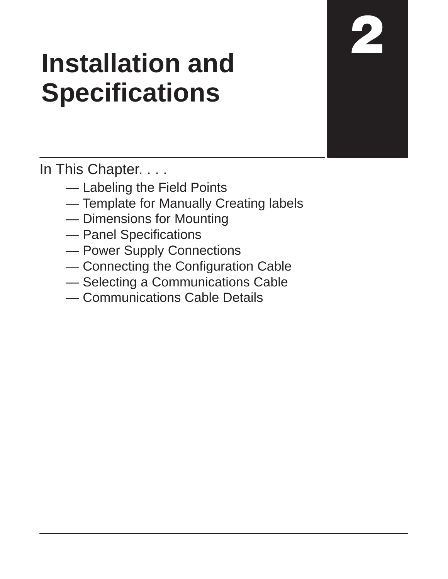# **Installation and Specifications**

In This Chapter. . . .

- Labeling the Field Points
- Template for Manually Creating labels
- Dimensions for Mounting
- Panel Specifications
- Power Supply Connections
- Connecting the Configuration Cable
- Selecting a Communications Cable
- Communications Cable Details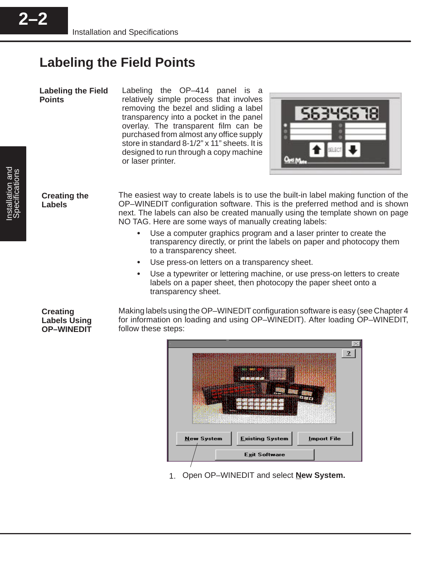**Labeling the Field Points**

**2–2**

Labeling the OP–414 panel is a relatively simple process that involves removing the bezel and sliding a label transparency into a pocket in the panel overlay. The transparent film can be purchased from almost any office supply store in standard 8-1/2" x 11" sheets. It is designed to run through a copy machine or laser printer.



**Creating the Labels**

The easiest way to create labels is to use the built-in label making function of the OP–WINEDIT configuration software. This is the preferred method and is shown next. The labels can also be created manually using the template shown on page NO TAG. Here are some ways of manually creating labels:

- Use a computer graphics program and a laser printer to create the transparency directly, or print the labels on paper and photocopy them to a transparency sheet.
- Use press-on letters on a transparency sheet.
- $\bullet$  Use a typewriter or lettering machine, or use press-on letters to create labels on a paper sheet, then photocopy the paper sheet onto a transparency sheet.

**Creating Labels Using OP–WINEDIT**

Making labels using the OP–WINEDIT configuration software is easy (see Chapter 4 for information on loading and using OP–WINEDIT). After loading OP–WINEDIT, follow these steps:



1. Open OP–WINEDIT and select **New System.**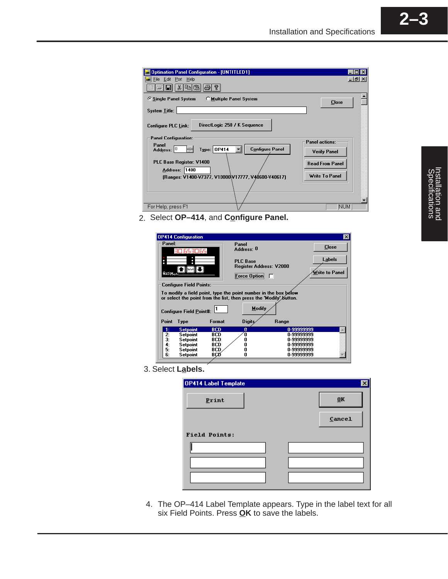

2. Select **OP–414**, and **Configure Panel.**

| <b>OP414 Configuration</b>                                                                                                            |            |                                            |            | $\vert x \vert$                 |  |  |
|---------------------------------------------------------------------------------------------------------------------------------------|------------|--------------------------------------------|------------|---------------------------------|--|--|
| Panel:                                                                                                                                |            | Panel<br>Address: 0                        |            | <b>Close</b>                    |  |  |
| <b>Optimete</b>                                                                                                                       |            | <b>PLC Base</b><br>Register Address: V2000 |            | <b>Labels</b><br>Write to Panel |  |  |
|                                                                                                                                       |            | <b>Eorce Option</b>                        | п          |                                 |  |  |
| <b>Configure Field Points:</b>                                                                                                        |            |                                            |            |                                 |  |  |
| To modify a field point, type the point number in the box below<br>or select the point from the list, then press the 'Modify' button. |            |                                            |            |                                 |  |  |
| Modify<br><b>Configure Field Point#:</b>                                                                                              |            |                                            |            |                                 |  |  |
| Point<br>Type                                                                                                                         | Format     | <b>Digits</b>                              | Range      |                                 |  |  |
| <b>Setpoint</b><br>1:                                                                                                                 | <b>BCD</b> | Q                                          | 0-99999999 |                                 |  |  |
| 2:<br>Setpoint                                                                                                                        | BCD        | Λ                                          | 0-99999999 |                                 |  |  |
| 3:<br>Setpoint                                                                                                                        | BCD        | п                                          | 0-99999999 |                                 |  |  |
| 4:<br>Setpoint                                                                                                                        | BCD        |                                            | 0-99999999 |                                 |  |  |
| 5:<br>Setpoint                                                                                                                        | BCD        |                                            | 0-99999999 |                                 |  |  |
| 6:<br>Setpoint                                                                                                                        | BCØ        | П                                          | 0-99999999 |                                 |  |  |

3. Select **Labels.**

| OP414 Label Template |        |
|----------------------|--------|
| Print                | 0K     |
|                      | Cancel |
| <b>Field Points:</b> |        |
|                      |        |
|                      |        |
|                      |        |

The OP–414 Label Template appears. Type in the label text for all 4.six Field Points. Press **OK** to save the labels.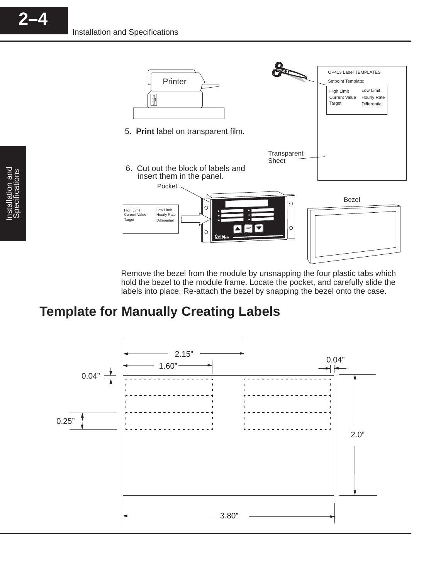

Remove the bezel from the module by unsnapping the four plastic tabs which hold the bezel to the module frame. Locate the pocket, and carefully slide the labels into place. Re-attach the bezel by snapping the bezel onto the case.

#### **Template for Manually Creating Labels**



**2–4**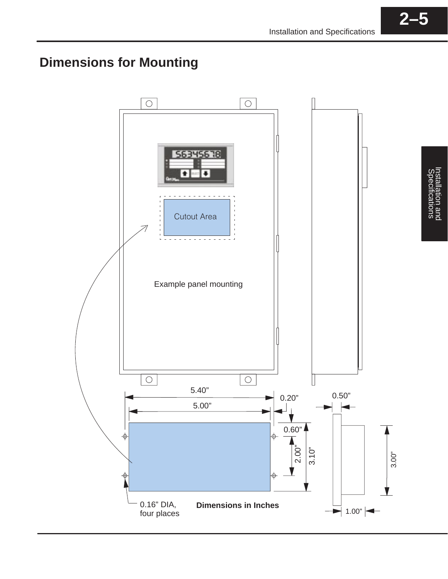### **Dimensions for Mounting**

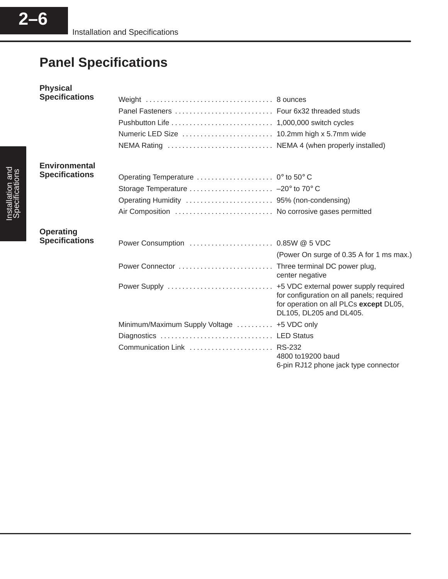## **Panel Specifications**

| <b>Physical</b>       |                                                |                                                                                                                                                         |
|-----------------------|------------------------------------------------|---------------------------------------------------------------------------------------------------------------------------------------------------------|
| <b>Specifications</b> |                                                |                                                                                                                                                         |
|                       | Panel Fasteners  Four 6x32 threaded studs      |                                                                                                                                                         |
|                       |                                                |                                                                                                                                                         |
|                       |                                                |                                                                                                                                                         |
|                       |                                                |                                                                                                                                                         |
| <b>Environmental</b>  |                                                |                                                                                                                                                         |
| <b>Specifications</b> |                                                |                                                                                                                                                         |
|                       | Storage Temperature  -20° to 70° C             |                                                                                                                                                         |
|                       |                                                |                                                                                                                                                         |
|                       | Air Composition  No corrosive gases permitted  |                                                                                                                                                         |
| <b>Operating</b>      |                                                |                                                                                                                                                         |
| <b>Specifications</b> |                                                |                                                                                                                                                         |
|                       |                                                | (Power On surge of 0.35 A for 1 ms max.)                                                                                                                |
|                       | Power Connector  Three terminal DC power plug, |                                                                                                                                                         |
|                       |                                                | center negative                                                                                                                                         |
|                       | Power Supply                                   | +5 VDC external power supply required<br>for configuration on all panels; required<br>for operation on all PLCs except DL05,<br>DL105, DL205 and DL405. |
|                       | Minimum/Maximum Supply Voltage  +5 VDC only    |                                                                                                                                                         |
|                       |                                                |                                                                                                                                                         |
|                       | Communication Link  RS-232                     | 4800 to 19200 baud                                                                                                                                      |
|                       |                                                | 6-pin RJ12 phone jack type connector                                                                                                                    |

**2–6**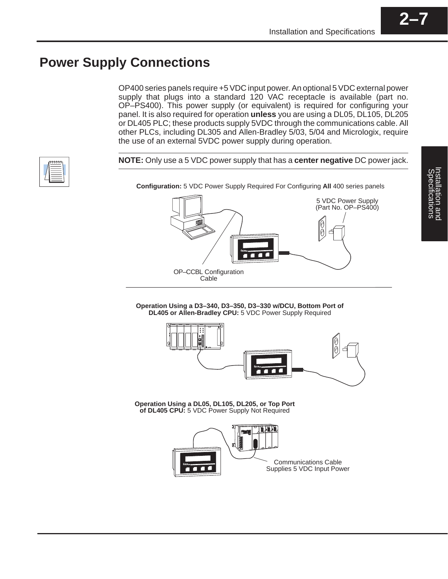#### **Power Supply Connections**

OP400 series panels require +5 VDC input power. An optional 5 VDC external power supply that plugs into a standard 120 VAC receptacle is available (part no. OP–PS400). This power supply (or equivalent) is required for configuring your panel. It is also required for operation **unless** you are using a DL05, DL105, DL205 or DL405 PLC; these products supply 5VDC through the communications cable. All other PLCs, including DL305 and Allen-Bradley 5/03, 5/04 and Micrologix, require the use of an external 5VDC power supply during operation.

**NOTE:** Only use a 5 VDC power supply that has a **center negative** DC power jack.

**Configuration:** 5 VDC Power Supply Required For Configuring **All** 400 series panels

5 VDC Power Supply (Part No. OP–PS400)





**Operation Using a DL05, DL105, DL205, or Top Port of DL405 CPU:** 5 VDC Power Supply Not Required

OP–CCBL Configuration Cable

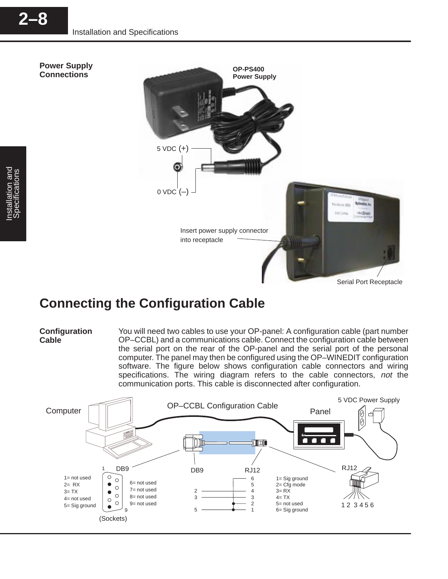

#### **Connecting the Configuration Cable**

#### **Configuration Cable**

You will need two cables to use your OP-panel: A configuration cable (part number OP–CCBL) and a communications cable. Connect the configuration cable between the serial port on the rear of the OP-panel and the serial port of the personal computer. The panel may then be configured using the OP–WINEDIT configuration software. The figure below shows configuration cable connectors and wiring specifications. The wiring diagram refers to the cable connectors, not the communication ports. This cable is disconnected after configuration.

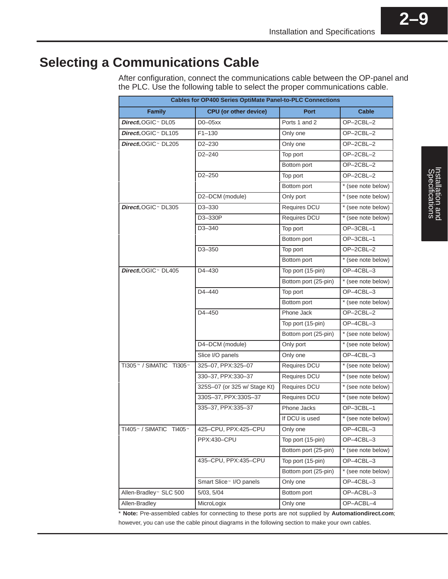#### **Selecting a Communications Cable**

After configuration, connect the communications cable between the OP-panel and the PLC. Use the following table to select the proper communications cable.

| <b>Cables for OP400 Series OptiMate Panel-to-PLC Connections</b> |                                     |                      |                    |  |
|------------------------------------------------------------------|-------------------------------------|----------------------|--------------------|--|
| <b>Family</b>                                                    | <b>CPU</b> (or other device)        | Port                 | <b>Cable</b>       |  |
| DirectLOGIC <sup>™</sup> DL05                                    | $D0-05xx$                           | Ports 1 and 2        | OP-2CBL-2          |  |
| DirectLOGIC <sup>™</sup> DL105                                   | $F1 - 130$                          | Only one             | OP-2CBL-2          |  |
| DirectLOGIC <sup>™</sup> DL205                                   | D2-230                              | Only one             | OP-2CBL-2          |  |
|                                                                  | D2-240                              | Top port             | OP-2CBL-2          |  |
|                                                                  |                                     | Bottom port          | OP-2CBL-2          |  |
|                                                                  | $D2 - 250$                          | Top port             | OP-2CBL-2          |  |
|                                                                  |                                     | Bottom port          | * (see note below) |  |
|                                                                  | D2-DCM (module)                     | Only port            | * (see note below) |  |
| DirectLOGIC ~ DL305                                              | D3-330                              | Requires DCU         | * (see note below) |  |
|                                                                  | D3-330P                             | Requires DCU         | * (see note below) |  |
|                                                                  | D3-340                              | Top port             | OP-3CBL-1          |  |
|                                                                  |                                     | Bottom port          | OP-3CBL-1          |  |
|                                                                  | D3-350                              | Top port             | OP-2CBL-2          |  |
|                                                                  |                                     | Bottom port          | * (see note below) |  |
| DirectLOGIC <sup>™</sup> DL405                                   | D4-430                              | Top port (15-pin)    | OP-4CBL-3          |  |
|                                                                  |                                     | Bottom port (25-pin) | * (see note below) |  |
|                                                                  | $D4 - 440$                          | Top port             | OP-4CBL-3          |  |
|                                                                  |                                     | Bottom port          | * (see note below) |  |
|                                                                  | D4-450                              | Phone Jack           | OP-2CBL-2          |  |
|                                                                  |                                     | Top port (15-pin)    | OP-4CBL-3          |  |
|                                                                  |                                     | Bottom port (25-pin) | * (see note below) |  |
|                                                                  | D4-DCM (module)                     | Only port            | * (see note below) |  |
|                                                                  | Slice I/O panels                    | Only one             | OP-4CBL-3          |  |
| TI305™ / SIMATIC <sup>®</sup> TI305™                             | 325-07, PPX:325-07                  | Requires DCU         | * (see note below) |  |
|                                                                  | 330-37, PPX:330-37                  | Requires DCU         | * (see note below) |  |
|                                                                  | 325S-07 (or 325 w/ Stage Kt)        | Requires DCU         | * (see note below) |  |
|                                                                  | 330S-37, PPX:330S-37                | Requires DCU         | * (see note below) |  |
|                                                                  | 335-37, PPX:335-37                  | Phone Jacks          | OP-3CBL-1          |  |
|                                                                  |                                     | If DCU is used       | * (see note below) |  |
| TI405 <sup>™</sup> / SIMATIC <sup>®</sup> TI405™                 | 425-CPU, PPX:425-CPU                | Only one             | OP-4CBL-3          |  |
|                                                                  | PPX:430-CPU                         | Top port (15-pin)    | OP-4CBL-3          |  |
|                                                                  |                                     | Bottom port (25-pin) | * (see note below) |  |
|                                                                  | 435-CPU, PPX:435-CPU                | Top port (15-pin)    | OP-4CBL-3          |  |
|                                                                  |                                     | Bottom port (25-pin) | * (see note below) |  |
|                                                                  | Smart Slice <sup>™</sup> I/O panels | Only one             | OP-4CBL-3          |  |
| Allen-Bradley <sup>™</sup> SLC 500                               | 5/03, 5/04                          | Bottom port          | OP-ACBL-3          |  |
| Allen-Bradley                                                    | MicroLogix                          | Only one             | OP-ACBL-4          |  |

\* **Note:** Pre-assembled cables for connecting to these ports are not supplied by **Automationdirect.com**; however, you can use the cable pinout diagrams in the following section to make your own cables.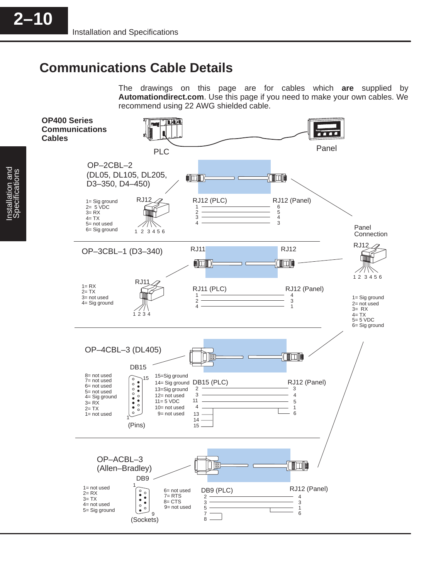#### **Communications Cable Details**

The drawings on this page are for cables which **are** supplied by **Automationdirect.com**. Use this page if you need to make your own cables. We recommend using 22 AWG shielded cable.